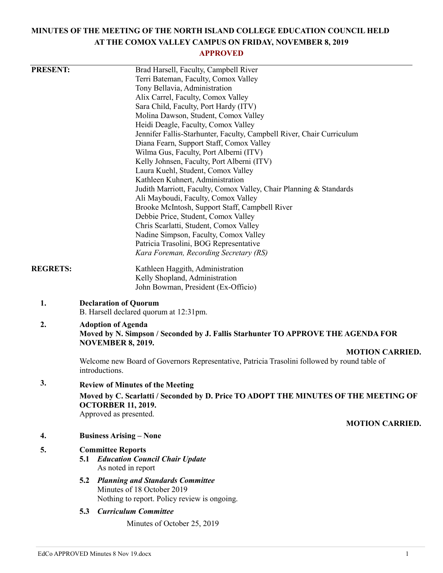# **MINUTES OF THE MEETING OF THE NORTH ISLAND COLLEGE EDUCATION COUNCIL HELD AT THE COMOX VALLEY CAMPUS ON FRIDAY, NOVEMBER 8, 2019**

## **APPROVED**

| <b>PRESENT:</b> | Brad Harsell, Faculty, Campbell River                                                        |  |  |  |
|-----------------|----------------------------------------------------------------------------------------------|--|--|--|
|                 | Terri Bateman, Faculty, Comox Valley                                                         |  |  |  |
|                 | Tony Bellavia, Administration                                                                |  |  |  |
|                 | Alix Carrel, Faculty, Comox Valley                                                           |  |  |  |
|                 | Sara Child, Faculty, Port Hardy (ITV)                                                        |  |  |  |
|                 | Molina Dawson, Student, Comox Valley                                                         |  |  |  |
|                 | Heidi Deagle, Faculty, Comox Valley                                                          |  |  |  |
|                 | Jennifer Fallis-Starhunter, Faculty, Campbell River, Chair Curriculum                        |  |  |  |
|                 | Diana Fearn, Support Staff, Comox Valley                                                     |  |  |  |
|                 | Wilma Gus, Faculty, Port Alberni (ITV)                                                       |  |  |  |
|                 | Kelly Johnsen, Faculty, Port Alberni (ITV)                                                   |  |  |  |
|                 | Laura Kuehl, Student, Comox Valley                                                           |  |  |  |
|                 | Kathleen Kuhnert, Administration                                                             |  |  |  |
|                 | Judith Marriott, Faculty, Comox Valley, Chair Planning & Standards                           |  |  |  |
|                 | Ali Mayboudi, Faculty, Comox Valley                                                          |  |  |  |
|                 | Brooke McIntosh, Support Staff, Campbell River                                               |  |  |  |
|                 | Debbie Price, Student, Comox Valley                                                          |  |  |  |
|                 | Chris Scarlatti, Student, Comox Valley                                                       |  |  |  |
|                 | Nadine Simpson, Faculty, Comox Valley                                                        |  |  |  |
|                 | Patricia Trasolini, BOG Representative                                                       |  |  |  |
|                 | Kara Foreman, Recording Secretary (RS)                                                       |  |  |  |
| <b>REGRETS:</b> | Kathleen Haggith, Administration                                                             |  |  |  |
|                 | Kelly Shopland, Administration                                                               |  |  |  |
|                 | John Bowman, President (Ex-Officio)                                                          |  |  |  |
| 1.              | <b>Declaration of Quorum</b><br>B. Harsell declared quorum at 12:31pm.                       |  |  |  |
| 2.              | <b>Adoption of Agenda</b>                                                                    |  |  |  |
|                 | Moved by N. Simpson / Seconded by J. Fallis Starhunter TO APPROVE THE AGENDA FOR             |  |  |  |
|                 | <b>NOVEMBER 8, 2019.</b>                                                                     |  |  |  |
|                 | <b>MOTION CARRIED.</b>                                                                       |  |  |  |
|                 | Welcome new Board of Governors Representative, Patricia Trasolini followed by round table of |  |  |  |
|                 | introductions.                                                                               |  |  |  |
| 3.              | <b>Review of Minutes of the Meeting</b>                                                      |  |  |  |
|                 | Moved by C. Scarlatti / Seconded by D. Price TO ADOPT THE MINUTES OF THE MEETING OF          |  |  |  |
|                 | <b>OCTORBER 11, 2019.</b>                                                                    |  |  |  |
|                 | Approved as presented.                                                                       |  |  |  |
|                 | <b>MOTION CARRIED.</b>                                                                       |  |  |  |
| 4.              | <b>Business Arising – None</b>                                                               |  |  |  |
| 5.              | <b>Committee Reports</b>                                                                     |  |  |  |
|                 | <b>5.1 Education Council Chair Update</b>                                                    |  |  |  |
|                 | As noted in report                                                                           |  |  |  |
|                 | <b>Planning and Standards Committee</b><br>5.2                                               |  |  |  |
|                 | Minutes of 18 October 2019                                                                   |  |  |  |
|                 | Nothing to report. Policy review is ongoing.                                                 |  |  |  |
|                 | <b>Curriculum Committee</b><br>5.3                                                           |  |  |  |
|                 | Minutes of October 25, 2019                                                                  |  |  |  |
|                 |                                                                                              |  |  |  |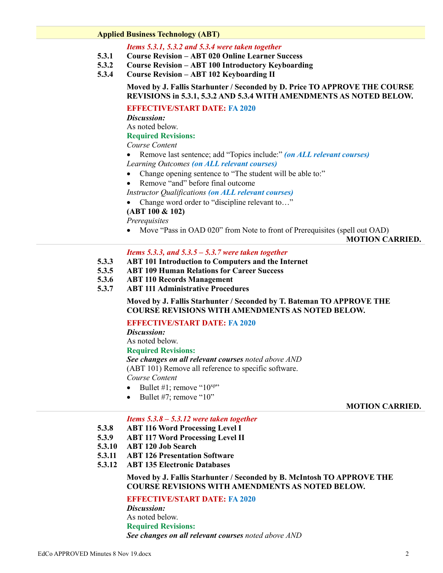#### **Applied Business Technology (ABT)**

### *Items 5.3.1, 5.3.2 and 5.3.4 were taken together*

- **5.3.1 Course Revision – ABT 020 Online Learner Success**
- **5.3.2 Course Revision – ABT 100 Introductory Keyboarding**
- **5.3.4 Course Revision – ABT 102 Keyboarding II**

## **Moved by J. Fallis Starhunter / Seconded by D. Price TO APPROVE THE COURSE REVISIONS in 5.3.1, 5.3.2 AND 5.3.4 WITH AMENDMENTS AS NOTED BELOW.**

## **EFFECTIVE/START DATE: FA 2020**

*Discussion:*

As noted below.

## **Required Revisions:**

*Course Content*

- Remove last sentence; add "Topics include:" *(on ALL relevant courses) Learning Outcomes (on ALL relevant courses)*
- Change opening sentence to "The student will be able to:"
- Remove "and" before final outcome

*Instructor Qualifications (on ALL relevant courses)*

- Change word order to "discipline relevant to…"
- **(ABT 100 & 102)**

*Prerequisites*

• Move "Pass in OAD 020" from Note to front of Prerequisites (spell out OAD)

**MOTION CARRIED.**

## *Items 5.3.3, and 5.3.5 – 5.3.7 were taken together*

- **5.3.3 ABT 101 Introduction to Computers and the Internet**
- **5.3.5 ABT 109 Human Relations for Career Success**
- **5.3.6 ABT 110 Records Management**
- **5.3.7 ABT 111 Administrative Procedures**

**Moved by J. Fallis Starhunter / Seconded by T. Bateman TO APPROVE THE COURSE REVISIONS WITH AMENDMENTS AS NOTED BELOW.**

## **EFFECTIVE/START DATE: FA 2020**

*Discussion:*

As noted below.

## **Required Revisions:**

*See changes on all relevant courses noted above AND*

(ABT 101) Remove all reference to specific software.

*Course Content*

- $\bullet$  Bullet #1; remove "10<sup>xp"</sup>
- Bullet #7; remove "10"

#### **MOTION CARRIED.**

#### *Items 5.3.8 – 5.3.12 were taken together*

- **5.3.8 ABT 116 Word Processing Level I**
- **5.3.9 ABT 117 Word Processing Level II**
- **5.3.10 ABT 120 Job Search**
- **5.3.11 ABT 126 Presentation Software**
- **5.3.12 ABT 135 Electronic Databases**

## **Moved by J. Fallis Starhunter / Seconded by B. McIntosh TO APPROVE THE COURSE REVISIONS WITH AMENDMENTS AS NOTED BELOW.**

## **EFFECTIVE/START DATE: FA 2020**

*Discussion:* As noted below. **Required Revisions:** *See changes on all relevant courses noted above AND*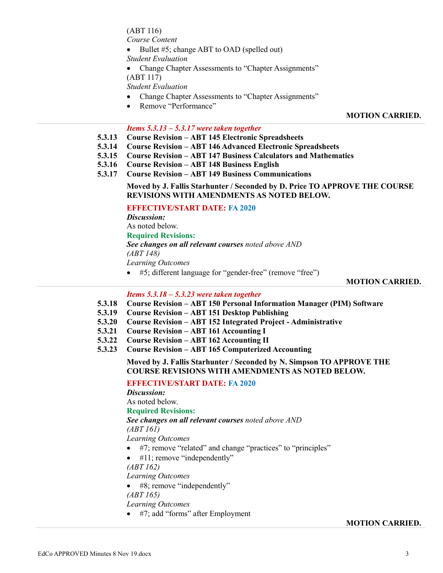(ABT 116)

*Course Content*

- $\bullet$  Bullet #5; change ABT to OAD (spelled out)
- *Student Evaluation*
- Change Chapter Assessments to "Chapter Assignments"
- (ABT 117)

*Student Evaluation*

- Change Chapter Assessments to "Chapter Assignments"
- Remove "Performance"

## **MOTION CARRIED.**

## *Items 5.3.13 – 5.3.17 were taken together*

- **5.3.13 Course Revision – ABT 145 Electronic Spreadsheets**
- **5.3.14 Course Revision – ABT 146 Advanced Electronic Spreadsheets**
- **5.3.15 Course Revision – ABT 147 Business Calculators and Mathematics**
- **5.3.16 Course Revision – ABT 148 Business English**
- **5.3.17 Course Revision – ABT 149 Business Communications**

**Moved by J. Fallis Starhunter / Seconded by D. Price TO APPROVE THE COURSE REVISIONS WITH AMENDMENTS AS NOTED BELOW.**

## **EFFECTIVE/START DATE: FA 2020**

*Discussion:* As noted below. **Required Revisions:** *See changes on all relevant courses noted above AND (ABT 148) Learning Outcomes* #5; different language for "gender-free" (remove "free")

**MOTION CARRIED.**

## *Items 5.3.18 – 5.3.23 were taken together*

- **5.3.18 Course Revision – ABT 150 Personal Information Manager (PIM) Software**
- **5.3.19 Course Revision – ABT 151 Desktop Publishing**
- **5.3.20 Course Revision – ABT 152 Integrated Project - Administrative**
- **5.3.21 Course Revision – ABT 161 Accounting I**
- **5.3.22 Course Revision – ABT 162 Accounting II**
- **5.3.23 Course Revision – ABT 165 Computerized Accounting**

## **Moved by J. Fallis Starhunter / Seconded by N. Simpson TO APPROVE THE COURSE REVISIONS WITH AMENDMENTS AS NOTED BELOW.**

## **EFFECTIVE/START DATE: FA 2020**

*Discussion:*

As noted below.

**Required Revisions:**

*See changes on all relevant courses noted above AND (ABT 161)*

*Learning Outcomes*

- #7; remove "related" and change "practices" to "principles"
- $\bullet$  #11; remove "independently"

*(ABT 162)*

## *Learning Outcomes*

- #8; remove "independently"
- *(ABT 165)*

*Learning Outcomes*

#7; add "forms" after Employment

## **MOTION CARRIED.**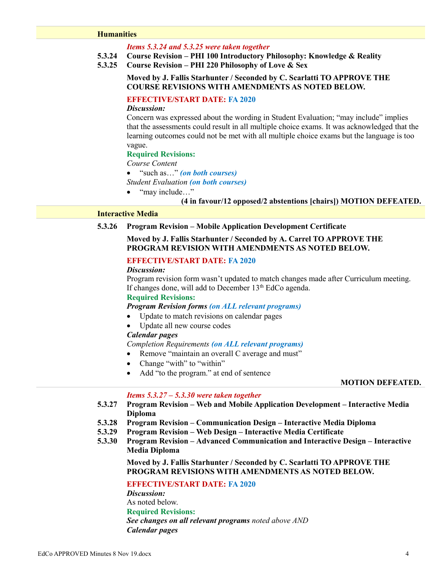#### **Humanities**

#### *Items 5.3.24 and 5.3.25 were taken together*

- **5.3.24 Course Revision – PHI 100 Introductory Philosophy: Knowledge & Reality**
- **5.3.25 Course Revision – PHI 220 Philosophy of Love & Sex**

## **Moved by J. Fallis Starhunter / Seconded by C. Scarlatti TO APPROVE THE COURSE REVISIONS WITH AMENDMENTS AS NOTED BELOW.**

## **EFFECTIVE/START DATE: FA 2020**

#### *Discussion:*

Concern was expressed about the wording in Student Evaluation; "may include" implies that the assessments could result in all multiple choice exams. It was acknowledged that the learning outcomes could not be met with all multiple choice exams but the language is too vague.

#### **Required Revisions:**

*Course Content*

"such as…" *(on both courses)*

*Student Evaluation (on both courses)*

• "may include..."

## **(4 in favour/12 opposed/2 abstentions [chairs]) MOTION DEFEATED.**

## **Interactive Media**

## **5.3.26 Program Revision – Mobile Application Development Certificate**

## **Moved by J. Fallis Starhunter / Seconded by A. Carrel TO APPROVE THE PROGRAM REVISION WITH AMENDMENTS AS NOTED BELOW.**

## **EFFECTIVE/START DATE: FA 2020**

#### *Discussion:*

Program revision form wasn't updated to match changes made after Curriculum meeting. If changes done, will add to December  $13<sup>th</sup>$  EdCo agenda.

## **Required Revisions:**

## *Program Revision forms (on ALL relevant programs)*

- Update to match revisions on calendar pages
- Update all new course codes

#### *Calendar pages*

*Completion Requirements (on ALL relevant programs)*

- Remove "maintain an overall C average and must"
- Change "with" to "within"
- Add "to the program." at end of sentence

#### **MOTION DEFEATED.**

### *Items 5.3.27 – 5.3.30 were taken together*

- **5.3.27 Program Revision – Web and Mobile Application Development – Interactive Media Diploma**
- **5.3.28 Program Revision – Communication Design – Interactive Media Diploma**
- **5.3.29 Program Revision – Web Design – Interactive Media Certificate**
- **5.3.30 Program Revision – Advanced Communication and Interactive Design – Interactive Media Diploma**

**Moved by J. Fallis Starhunter / Seconded by C. Scarlatti TO APPROVE THE PROGRAM REVISIONS WITH AMENDMENTS AS NOTED BELOW.**

## **EFFECTIVE/START DATE: FA 2020**

*Discussion:* As noted below. **Required Revisions:** *See changes on all relevant programs noted above AND Calendar pages*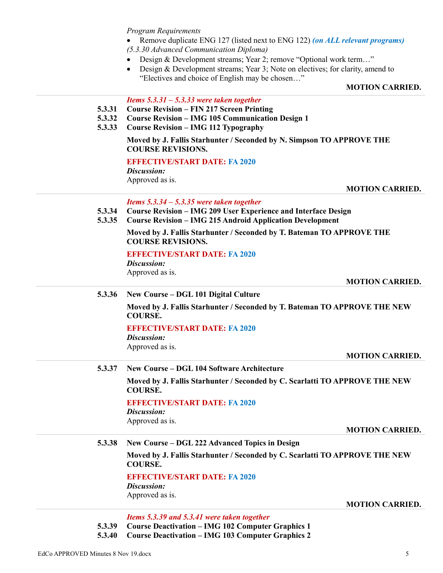*Program Requirements*

- Remove duplicate ENG 127 (listed next to ENG 122) *(on ALL relevant programs) (5.3.30 Advanced Communication Diploma)*
- Design & Development streams; Year 2; remove "Optional work term…"
- Design & Development streams; Year 3; Note on electives; for clarity, amend to "Electives and choice of English may be chosen…"

## **MOTION CARRIED.**

## *Items 5.3.31 – 5.3.33 were taken together*

- **5.3.31 Course Revision – FIN 217 Screen Printing**
- **5.3.32 Course Revision – IMG 105 Communication Design 1**
- **5.3.33 Course Revision – IMG 112 Typography**

## **Moved by J. Fallis Starhunter / Seconded by N. Simpson TO APPROVE THE COURSE REVISIONS.**

## **EFFECTIVE/START DATE: FA 2020**

*Discussion:* Approved as is.

**MOTION CARRIED.**

*Items 5.3.34 – 5.3.35 were taken together*

- **5.3.34 Course Revision – IMG 209 User Experience and Interface Design**
- **5.3.35 Course Revision – IMG 215 Android Application Development**

**Moved by J. Fallis Starhunter / Seconded by T. Bateman TO APPROVE THE COURSE REVISIONS.**

**EFFECTIVE/START DATE: FA 2020**

*Discussion:*

Approved as is.

**MOTION CARRIED.**

**5.3.36 New Course – DGL 101 Digital Culture**

**Moved by J. Fallis Starhunter / Seconded by T. Bateman TO APPROVE THE NEW COURSE.**

## **EFFECTIVE/START DATE: FA 2020**

*Discussion:* Approved as is.

**MOTION CARRIED.**

**5.3.37 New Course – DGL 104 Software Architecture**

**Moved by J. Fallis Starhunter / Seconded by C. Scarlatti TO APPROVE THE NEW COURSE.**

## **EFFECTIVE/START DATE: FA 2020**

*Discussion:* Approved as is.

#### **MOTION CARRIED.**

**5.3.38 New Course – DGL 222 Advanced Topics in Design**

**Moved by J. Fallis Starhunter / Seconded by C. Scarlatti TO APPROVE THE NEW COURSE.**

## **EFFECTIVE/START DATE: FA 2020**

*Discussion:* Approved as is.

**MOTION CARRIED.**

*Items 5.3.39 and 5.3.41 were taken together*

**5.3.39 Course Deactivation – IMG 102 Computer Graphics 1**

**5.3.40 Course Deactivation – IMG 103 Computer Graphics 2**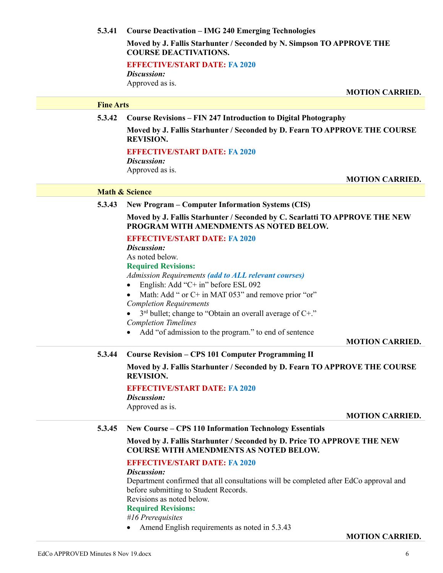## **5.3.41 Course Deactivation – IMG 240 Emerging Technologies**

**Moved by J. Fallis Starhunter / Seconded by N. Simpson TO APPROVE THE COURSE DEACTIVATIONS.**

**EFFECTIVE/START DATE: FA 2020**

*Discussion:* Approved as is.

**MOTION CARRIED.**

## **Fine Arts**

**5.3.42 Course Revisions – FIN 247 Introduction to Digital Photography**

**Moved by J. Fallis Starhunter / Seconded by D. Fearn TO APPROVE THE COURSE REVISION.**

### **EFFECTIVE/START DATE: FA 2020**

*Discussion:* Approved as is.

**MOTION CARRIED.**

## **Math & Science**

**5.3.43 New Program – Computer Information Systems (CIS)**

**Moved by J. Fallis Starhunter / Seconded by C. Scarlatti TO APPROVE THE NEW PROGRAM WITH AMENDMENTS AS NOTED BELOW.**

## **EFFECTIVE/START DATE: FA 2020**

*Discussion:*

As noted below.

## **Required Revisions:**

*Admission Requirements (add to ALL relevant courses)*

- English: Add "C+ in" before ESL 092
- Math: Add " or C+ in MAT 053" and remove prior "or" *Completion Requirements*
- $\bullet$  3<sup>rd</sup> bullet; change to "Obtain an overall average of C+." *Completion Timelines*
- Add "of admission to the program." to end of sentence

**MOTION CARRIED.**

## **5.3.44 Course Revision – CPS 101 Computer Programming II**

**Moved by J. Fallis Starhunter / Seconded by D. Fearn TO APPROVE THE COURSE REVISION.**

## **EFFECTIVE/START DATE: FA 2020**

*Discussion:* Approved as is.

**MOTION CARRIED.**

## **5.3.45 New Course – CPS 110 Information Technology Essentials**

**Moved by J. Fallis Starhunter / Seconded by D. Price TO APPROVE THE NEW COURSE WITH AMENDMENTS AS NOTED BELOW.**

## **EFFECTIVE/START DATE: FA 2020**

#### *Discussion:*

Department confirmed that all consultations will be completed after EdCo approval and before submitting to Student Records.

Revisions as noted below.

## **Required Revisions:**

*#16 Prerequisites*

• Amend English requirements as noted in 5.3.43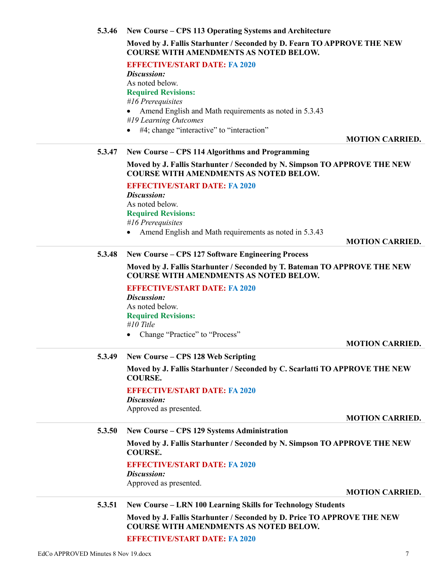**5.3.46 New Course – CPS 113 Operating Systems and Architecture**

**Moved by J. Fallis Starhunter / Seconded by D. Fearn TO APPROVE THE NEW COURSE WITH AMENDMENTS AS NOTED BELOW.**

|        | COUNSE WITH AMENDMENTS AS NOTED BELOW.                                                                                     |
|--------|----------------------------------------------------------------------------------------------------------------------------|
|        | <b>EFFECTIVE/START DATE: FA 2020</b>                                                                                       |
|        | Discussion:                                                                                                                |
|        | As noted below.                                                                                                            |
|        | <b>Required Revisions:</b>                                                                                                 |
|        | #16 Prerequisites                                                                                                          |
|        | Amend English and Math requirements as noted in 5.3.43                                                                     |
|        | #19 Learning Outcomes                                                                                                      |
|        | #4; change "interactive" to "interaction"                                                                                  |
|        | <b>MOTION CARRIED.</b>                                                                                                     |
| 5.3.47 | New Course – CPS 114 Algorithms and Programming                                                                            |
|        |                                                                                                                            |
|        | Moved by J. Fallis Starhunter / Seconded by N. Simpson TO APPROVE THE NEW<br><b>COURSE WITH AMENDMENTS AS NOTED BELOW.</b> |
|        | <b>EFFECTIVE/START DATE: FA 2020</b>                                                                                       |
|        | Discussion:                                                                                                                |
|        | As noted below.                                                                                                            |
|        | <b>Required Revisions:</b>                                                                                                 |
|        | #16 Prerequisites                                                                                                          |
|        | Amend English and Math requirements as noted in 5.3.43                                                                     |
|        | <b>MOTION CARRIED.</b>                                                                                                     |
| 5.3.48 | New Course – CPS 127 Software Engineering Process                                                                          |
|        |                                                                                                                            |
|        | Moved by J. Fallis Starhunter / Seconded by T. Bateman TO APPROVE THE NEW<br><b>COURSE WITH AMENDMENTS AS NOTED BELOW.</b> |
|        | <b>EFFECTIVE/START DATE: FA 2020</b>                                                                                       |
|        | Discussion:                                                                                                                |
|        | As noted below.                                                                                                            |
|        | <b>Required Revisions:</b>                                                                                                 |
|        | #10 Title                                                                                                                  |
|        | Change "Practice" to "Process"                                                                                             |
|        | <b>MOTION CARRIED.</b>                                                                                                     |
| 5.3.49 | New Course – CPS 128 Web Scripting                                                                                         |
|        |                                                                                                                            |
|        | Moved by J. Fallis Starhunter / Seconded by C. Scarlatti TO APPROVE THE NEW<br><b>COURSE.</b>                              |
|        | <b>EFFECTIVE/START DATE: FA 2020</b>                                                                                       |
|        | Discussion:                                                                                                                |
|        | Approved as presented.                                                                                                     |
|        | <b>MOTION CARRIED.</b>                                                                                                     |
| 5.3.50 | New Course – CPS 129 Systems Administration                                                                                |
|        |                                                                                                                            |
|        | Moved by J. Fallis Starhunter / Seconded by N. Simpson TO APPROVE THE NEW<br><b>COURSE.</b>                                |
|        | <b>EFFECTIVE/START DATE: FA 2020</b>                                                                                       |
|        | Discussion:                                                                                                                |
|        | Approved as presented.                                                                                                     |
|        | <b>MOTION CARRIED.</b>                                                                                                     |
| 5.3.51 | <b>New Course – LRN 100 Learning Skills for Technology Students</b>                                                        |
|        |                                                                                                                            |
|        | Moved by J. Fallis Starhunter / Seconded by D. Price TO APPROVE THE NEW<br><b>COURSE WITH AMENDMENTS AS NOTED BELOW.</b>   |

**EFFECTIVE/START DATE: FA 2020**